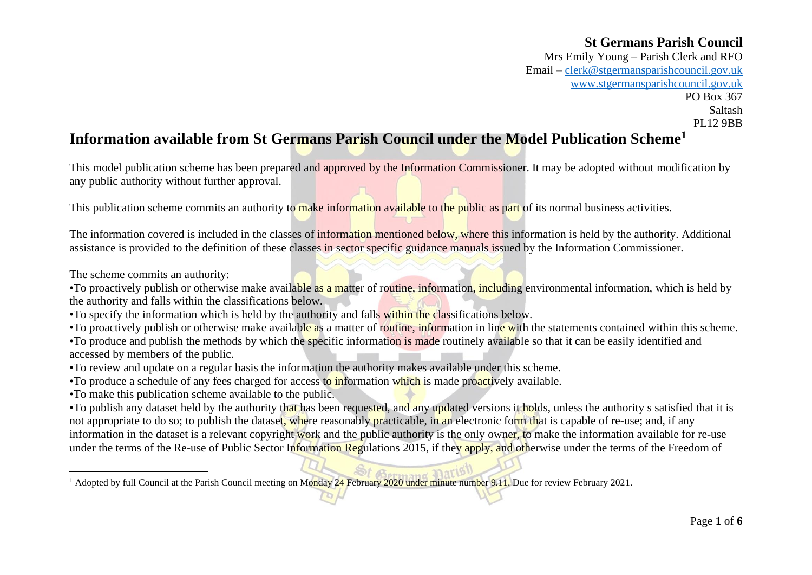Mrs Emily Young – Parish Clerk and RFO Email – [clerk@stgermansparishcouncil.gov.uk](mailto:clerk@stgermansparishcouncil.gov.uk) [www.stgermansparishcouncil.gov.uk](http://www.stgermansparishcouncil.gov.uk/) PO Box 367 Saltash PL12 9BB

# **Information available from St Germans Parish Council under the Model Publication Scheme<sup>1</sup>**

This model publication scheme has been prepared and approved by the Information Commissioner. It may be adopted without modification by any public authority without further approval.

This publication scheme commits an authority to make information available to the public as part of its normal business activities.

The information covered is included in the classes of information mentioned below, where this information is held by the authority. Additional assistance is provided to the definition of these classes in sector specific guidance manuals issued by the Information Commissioner.

The scheme commits an authority:

•To proactively publish or otherwise make available as a matter of routine, information, including environmental information, which is held by the authority and falls within the classifications below.

•To specify the information which is held by the authority and falls within the classifications below.

•To proactively publish or otherwise make available as a matter of routine, information in line with the statements contained within this scheme.

•To produce and publish the methods by which the specific information is made routinely available so that it can be easily identified and accessed by members of the public.

•To review and update on a regular basis the information the authority makes available under this scheme.

•To produce a schedule of any fees charged for access to information which is made proactively available.

•To make this publication scheme available to the public.

•To publish any dataset held by the authority that has been requested, and any updated versions it holds, unless the authority s satisfied that it is not appropriate to do so; to publish the dataset, where reasonably practicable, in an electronic form that is capable of re-use; and, if any information in the dataset is a relevant copyright work and the public authority is the only owner, to make the information available for re-use under the terms of the Re-use of Public Sector Information Regulations 2015, if they apply, and otherwise under the terms of the Freedom of

<sup>1</sup> Adopted by full Council at the Parish Council meeting on Monday 24 February 2020 under minute number 9.11. Due for review February 2021.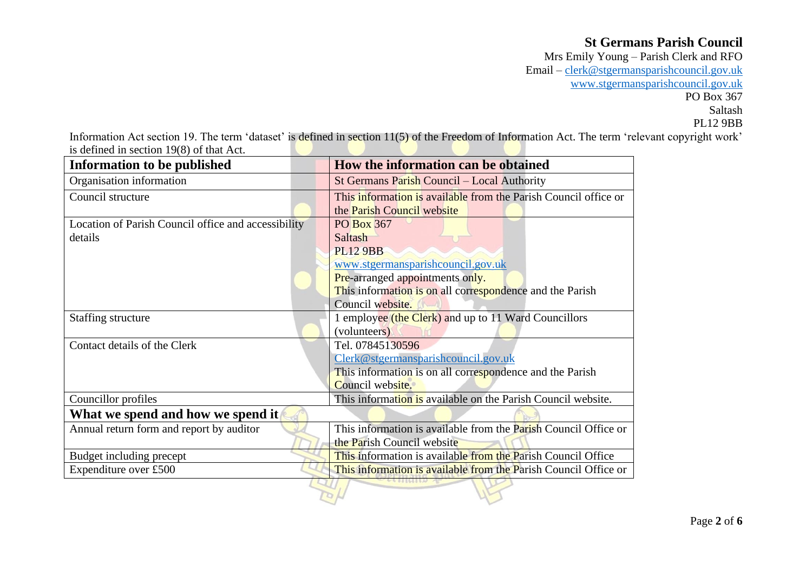Mrs Emily Young – Parish Clerk and RFO Email – [clerk@stgermansparishcouncil.gov.uk](mailto:clerk@stgermansparishcouncil.gov.uk) [www.stgermansparishcouncil.gov.uk](http://www.stgermansparishcouncil.gov.uk/) PO Box 367 Saltash PL12 9BB

Information Act section 19. The term 'dataset' is defined in section 11(5) of the Freedom of Information Act. The term 'relevant copyright work' is defined in section 19(8) of that Act.

| <b>Information to be published</b>                  | How the information can be obtained                             |
|-----------------------------------------------------|-----------------------------------------------------------------|
| Organisation information                            | St Germans Parish Council - Local Authority                     |
| Council structure                                   | This information is available from the Parish Council office or |
|                                                     | the Parish Council website                                      |
| Location of Parish Council office and accessibility | PO Box 367                                                      |
| details                                             | Saltash                                                         |
|                                                     | <b>PL12 9BB</b>                                                 |
|                                                     | www.stgermansparishcouncil.gov.uk                               |
|                                                     | Pre-arranged appointments only.                                 |
|                                                     | This information is on all correspondence and the Parish        |
|                                                     | Council website.                                                |
| Staffing structure                                  | 1 employee (the Clerk) and up to 11 Ward Councillors            |
|                                                     | (volunteers)                                                    |
| Contact details of the Clerk                        | Tel. 07845130596                                                |
|                                                     | Clerk@stgermansparishcouncil.gov.uk                             |
|                                                     | This information is on all correspondence and the Parish        |
|                                                     | Council website.                                                |
| Councillor profiles                                 | This information is available on the Parish Council website.    |
| What we spend and how we spend it                   |                                                                 |
| Annual return form and report by auditor            | This information is available from the Parish Council Office or |
|                                                     | the Parish Council website                                      |
| Budget including precept                            | This information is available from the Parish Council Office    |
| Expenditure over £500                               | This information is available from the Parish Council Office or |
|                                                     |                                                                 |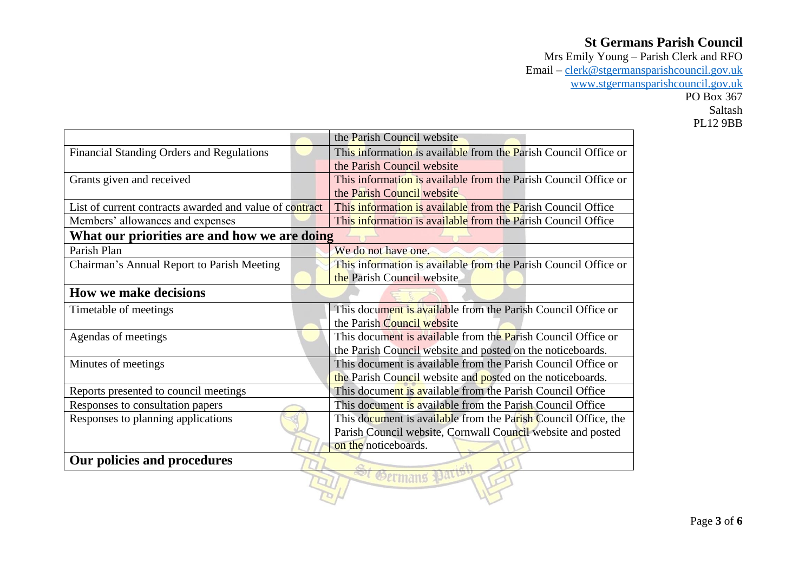Mrs Emily Young – Parish Clerk and RFO Email – [clerk@stgermansparishcouncil.gov.uk](mailto:clerk@stgermansparishcouncil.gov.uk) [www.stgermansparishcouncil.gov.uk](http://www.stgermansparishcouncil.gov.uk/) PO Box 367 Saltash PL12 9BB

| This information is available from the Parish Council Office or<br><b>Financial Standing Orders and Regulations</b><br>the Parish Council website<br>This information is available from the Parish Council Office or<br>Grants given and received<br>the Parish Council website<br>This information is available from the Parish Council Office<br>List of current contracts awarded and value of contract<br>This information is available from the Parish Council Office<br>Members' allowances and expenses<br>What our priorities are and how we are doing<br>Parish Plan<br>We do not have one.<br>This information is available from the Parish Council Office or<br>Chairman's Annual Report to Parish Meeting<br>the Parish Council website<br><b>How we make decisions</b><br>This document is available from the Parish Council Office or<br>Timetable of meetings<br>the Parish Council website<br>This document is available from the Parish Council Office or<br>Agendas of meetings<br>the Parish Council website and posted on the noticeboards.<br>This document is available from the Parish Council Office or<br>Minutes of meetings<br>the Parish Council website and posted on the noticeboards.<br>Reports presented to council meetings<br>This document is available from the Parish Council Office<br>This document is available from the Parish Council Office<br>Responses to consultation papers<br>Responses to planning applications<br>This document is available from the Parish Council Office, the<br>Parish Council website, Cornwall Council website and posted<br>on the noticeboards.<br>Our policies and procedures |  | the Parish Council website |  |
|-----------------------------------------------------------------------------------------------------------------------------------------------------------------------------------------------------------------------------------------------------------------------------------------------------------------------------------------------------------------------------------------------------------------------------------------------------------------------------------------------------------------------------------------------------------------------------------------------------------------------------------------------------------------------------------------------------------------------------------------------------------------------------------------------------------------------------------------------------------------------------------------------------------------------------------------------------------------------------------------------------------------------------------------------------------------------------------------------------------------------------------------------------------------------------------------------------------------------------------------------------------------------------------------------------------------------------------------------------------------------------------------------------------------------------------------------------------------------------------------------------------------------------------------------------------------------------------------------------------------------------------------------------------|--|----------------------------|--|
|                                                                                                                                                                                                                                                                                                                                                                                                                                                                                                                                                                                                                                                                                                                                                                                                                                                                                                                                                                                                                                                                                                                                                                                                                                                                                                                                                                                                                                                                                                                                                                                                                                                           |  |                            |  |
|                                                                                                                                                                                                                                                                                                                                                                                                                                                                                                                                                                                                                                                                                                                                                                                                                                                                                                                                                                                                                                                                                                                                                                                                                                                                                                                                                                                                                                                                                                                                                                                                                                                           |  |                            |  |
|                                                                                                                                                                                                                                                                                                                                                                                                                                                                                                                                                                                                                                                                                                                                                                                                                                                                                                                                                                                                                                                                                                                                                                                                                                                                                                                                                                                                                                                                                                                                                                                                                                                           |  |                            |  |
|                                                                                                                                                                                                                                                                                                                                                                                                                                                                                                                                                                                                                                                                                                                                                                                                                                                                                                                                                                                                                                                                                                                                                                                                                                                                                                                                                                                                                                                                                                                                                                                                                                                           |  |                            |  |
|                                                                                                                                                                                                                                                                                                                                                                                                                                                                                                                                                                                                                                                                                                                                                                                                                                                                                                                                                                                                                                                                                                                                                                                                                                                                                                                                                                                                                                                                                                                                                                                                                                                           |  |                            |  |
|                                                                                                                                                                                                                                                                                                                                                                                                                                                                                                                                                                                                                                                                                                                                                                                                                                                                                                                                                                                                                                                                                                                                                                                                                                                                                                                                                                                                                                                                                                                                                                                                                                                           |  |                            |  |
|                                                                                                                                                                                                                                                                                                                                                                                                                                                                                                                                                                                                                                                                                                                                                                                                                                                                                                                                                                                                                                                                                                                                                                                                                                                                                                                                                                                                                                                                                                                                                                                                                                                           |  |                            |  |
|                                                                                                                                                                                                                                                                                                                                                                                                                                                                                                                                                                                                                                                                                                                                                                                                                                                                                                                                                                                                                                                                                                                                                                                                                                                                                                                                                                                                                                                                                                                                                                                                                                                           |  |                            |  |
|                                                                                                                                                                                                                                                                                                                                                                                                                                                                                                                                                                                                                                                                                                                                                                                                                                                                                                                                                                                                                                                                                                                                                                                                                                                                                                                                                                                                                                                                                                                                                                                                                                                           |  |                            |  |
|                                                                                                                                                                                                                                                                                                                                                                                                                                                                                                                                                                                                                                                                                                                                                                                                                                                                                                                                                                                                                                                                                                                                                                                                                                                                                                                                                                                                                                                                                                                                                                                                                                                           |  |                            |  |
|                                                                                                                                                                                                                                                                                                                                                                                                                                                                                                                                                                                                                                                                                                                                                                                                                                                                                                                                                                                                                                                                                                                                                                                                                                                                                                                                                                                                                                                                                                                                                                                                                                                           |  |                            |  |
|                                                                                                                                                                                                                                                                                                                                                                                                                                                                                                                                                                                                                                                                                                                                                                                                                                                                                                                                                                                                                                                                                                                                                                                                                                                                                                                                                                                                                                                                                                                                                                                                                                                           |  |                            |  |
|                                                                                                                                                                                                                                                                                                                                                                                                                                                                                                                                                                                                                                                                                                                                                                                                                                                                                                                                                                                                                                                                                                                                                                                                                                                                                                                                                                                                                                                                                                                                                                                                                                                           |  |                            |  |
|                                                                                                                                                                                                                                                                                                                                                                                                                                                                                                                                                                                                                                                                                                                                                                                                                                                                                                                                                                                                                                                                                                                                                                                                                                                                                                                                                                                                                                                                                                                                                                                                                                                           |  |                            |  |
|                                                                                                                                                                                                                                                                                                                                                                                                                                                                                                                                                                                                                                                                                                                                                                                                                                                                                                                                                                                                                                                                                                                                                                                                                                                                                                                                                                                                                                                                                                                                                                                                                                                           |  |                            |  |
|                                                                                                                                                                                                                                                                                                                                                                                                                                                                                                                                                                                                                                                                                                                                                                                                                                                                                                                                                                                                                                                                                                                                                                                                                                                                                                                                                                                                                                                                                                                                                                                                                                                           |  |                            |  |
|                                                                                                                                                                                                                                                                                                                                                                                                                                                                                                                                                                                                                                                                                                                                                                                                                                                                                                                                                                                                                                                                                                                                                                                                                                                                                                                                                                                                                                                                                                                                                                                                                                                           |  |                            |  |
|                                                                                                                                                                                                                                                                                                                                                                                                                                                                                                                                                                                                                                                                                                                                                                                                                                                                                                                                                                                                                                                                                                                                                                                                                                                                                                                                                                                                                                                                                                                                                                                                                                                           |  |                            |  |
|                                                                                                                                                                                                                                                                                                                                                                                                                                                                                                                                                                                                                                                                                                                                                                                                                                                                                                                                                                                                                                                                                                                                                                                                                                                                                                                                                                                                                                                                                                                                                                                                                                                           |  |                            |  |
|                                                                                                                                                                                                                                                                                                                                                                                                                                                                                                                                                                                                                                                                                                                                                                                                                                                                                                                                                                                                                                                                                                                                                                                                                                                                                                                                                                                                                                                                                                                                                                                                                                                           |  |                            |  |
|                                                                                                                                                                                                                                                                                                                                                                                                                                                                                                                                                                                                                                                                                                                                                                                                                                                                                                                                                                                                                                                                                                                                                                                                                                                                                                                                                                                                                                                                                                                                                                                                                                                           |  |                            |  |
|                                                                                                                                                                                                                                                                                                                                                                                                                                                                                                                                                                                                                                                                                                                                                                                                                                                                                                                                                                                                                                                                                                                                                                                                                                                                                                                                                                                                                                                                                                                                                                                                                                                           |  |                            |  |
|                                                                                                                                                                                                                                                                                                                                                                                                                                                                                                                                                                                                                                                                                                                                                                                                                                                                                                                                                                                                                                                                                                                                                                                                                                                                                                                                                                                                                                                                                                                                                                                                                                                           |  |                            |  |
|                                                                                                                                                                                                                                                                                                                                                                                                                                                                                                                                                                                                                                                                                                                                                                                                                                                                                                                                                                                                                                                                                                                                                                                                                                                                                                                                                                                                                                                                                                                                                                                                                                                           |  |                            |  |
|                                                                                                                                                                                                                                                                                                                                                                                                                                                                                                                                                                                                                                                                                                                                                                                                                                                                                                                                                                                                                                                                                                                                                                                                                                                                                                                                                                                                                                                                                                                                                                                                                                                           |  |                            |  |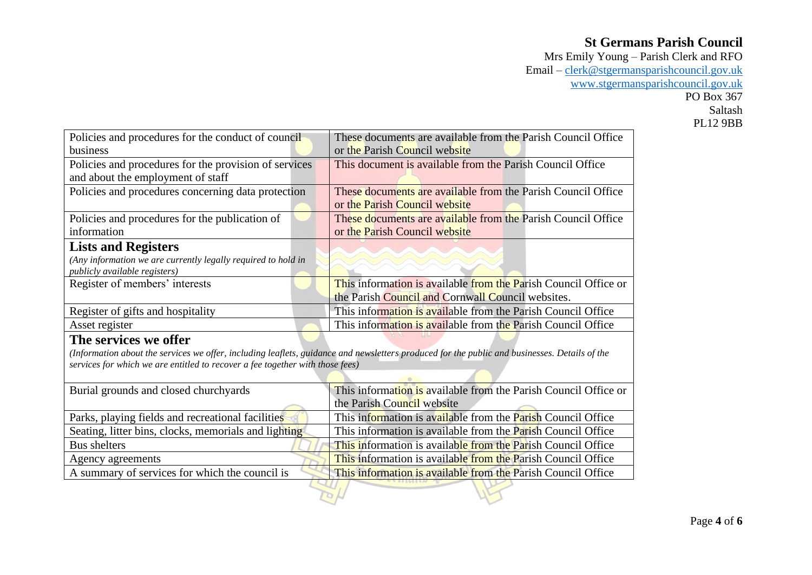Mrs Emily Young – Parish Clerk and RFO Email – [clerk@stgermansparishcouncil.gov.uk](mailto:clerk@stgermansparishcouncil.gov.uk) [www.stgermansparishcouncil.gov.uk](http://www.stgermansparishcouncil.gov.uk/) PO Box 367 Saltash PL12 9BB

|                                                                               | These documents are available from the Parish Council Office                                                                                  |
|-------------------------------------------------------------------------------|-----------------------------------------------------------------------------------------------------------------------------------------------|
| Policies and procedures for the conduct of council                            |                                                                                                                                               |
| business                                                                      | or the Parish Council website                                                                                                                 |
| Policies and procedures for the provision of services                         | This document is available from the Parish Council Office                                                                                     |
| and about the employment of staff                                             |                                                                                                                                               |
| Policies and procedures concerning data protection                            | These documents are available from the Parish Council Office                                                                                  |
|                                                                               | or the Parish Council website                                                                                                                 |
| Policies and procedures for the publication of                                | These documents are available from the Parish Council Office                                                                                  |
| information                                                                   | or the Parish Council website                                                                                                                 |
| <b>Lists and Registers</b>                                                    |                                                                                                                                               |
| (Any information we are currently legally required to hold in                 |                                                                                                                                               |
| publicly available registers)                                                 |                                                                                                                                               |
| Register of members' interests                                                | This information is available from the Parish Council Office or                                                                               |
|                                                                               | the Parish Council and Cornwall Council websites.                                                                                             |
| Register of gifts and hospitality                                             | This information is available from the Parish Council Office                                                                                  |
| Asset register                                                                | This information is available from the Parish Council Office                                                                                  |
| The services we offer                                                         |                                                                                                                                               |
|                                                                               | (Information about the services we offer, including leaflets, guidance and newsletters produced for the public and businesses. Details of the |
| services for which we are entitled to recover a fee together with those fees) |                                                                                                                                               |
|                                                                               |                                                                                                                                               |
| Burial grounds and closed churchyards                                         | This information is available from the Parish Council Office or                                                                               |
|                                                                               | the Parish Council website                                                                                                                    |
| Parks, playing fields and recreational facilities                             | This information is available from the Parish Council Office                                                                                  |
| Seating, litter bins, clocks, memorials and lighting                          | This information is available from the <b>Parish Council Office</b>                                                                           |
| <b>Bus shelters</b>                                                           | This information is available from the Parish Council Office                                                                                  |
| Agency agreements                                                             | This information is available from the Parish Council Office                                                                                  |
| A summary of services for which the council is                                | This information is available from the Parish Council Office                                                                                  |
|                                                                               |                                                                                                                                               |
|                                                                               |                                                                                                                                               |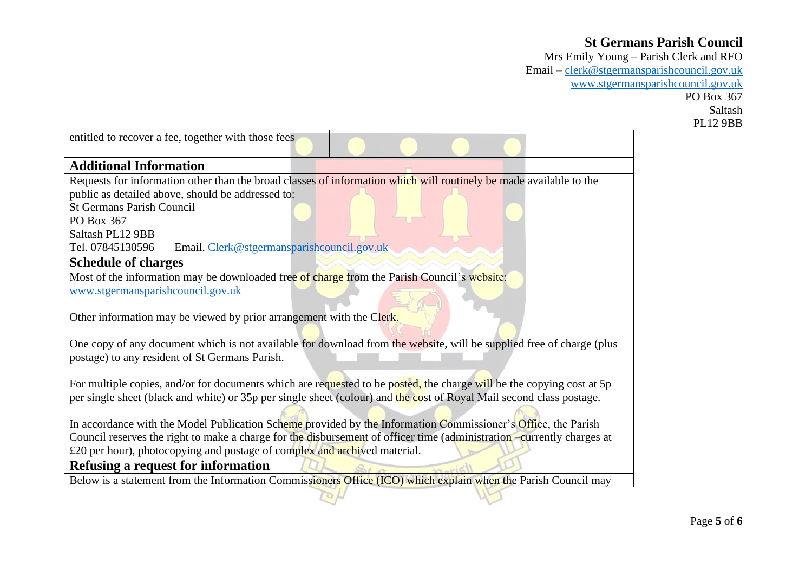Mrs Emily Young – Parish Clerk and RFO Email – [clerk@stgermansparishcouncil.gov.uk](mailto:clerk@stgermansparishcouncil.gov.uk) [www.stgermansparishcouncil.gov.uk](http://www.stgermansparishcouncil.gov.uk/) PO Box 367 Saltash PL12 9BB

| entitled to recover a fee, together with those fees                                                                    |
|------------------------------------------------------------------------------------------------------------------------|
|                                                                                                                        |
| <b>Additional Information</b>                                                                                          |
| Requests for information other than the broad classes of information which will routinely be made available to the     |
| public as detailed above, should be addressed to:                                                                      |
| <b>St Germans Parish Council</b>                                                                                       |
| PO Box 367                                                                                                             |
| Saltash PL12 9BB                                                                                                       |
| Tel. 07845130596<br>Email. Clerk@stgermansparishcouncil.gov.uk                                                         |
| <b>Schedule of charges</b>                                                                                             |
| Most of the information may be downloaded free of charge from the Parish Council's website:                            |
| www.stgermansparishcouncil.gov.uk                                                                                      |
|                                                                                                                        |
| Other information may be viewed by prior arrangement with the Clerk.                                                   |
|                                                                                                                        |
| One copy of any document which is not available for download from the website, will be supplied free of charge (plus   |
| postage) to any resident of St Germans Parish.                                                                         |
|                                                                                                                        |
| For multiple copies, and/or for documents which are requested to be posted, the charge will be the copying cost at 5p  |
| per single sheet (black and white) or 35p per single sheet (colour) and the cost of Royal Mail second class postage.   |
| In accordance with the Model Publication Scheme provided by the Information Commissioner's Office, the Parish          |
| Council reserves the right to make a charge for the disbursement of officer time (administration –currently charges at |
| £20 per hour), photocopying and postage of complex and archived material.                                              |
| Refusing a request for information                                                                                     |
| Below is a statement from the Information Commissioners Office (ICO) which explain when the Parish Council may         |
|                                                                                                                        |
|                                                                                                                        |